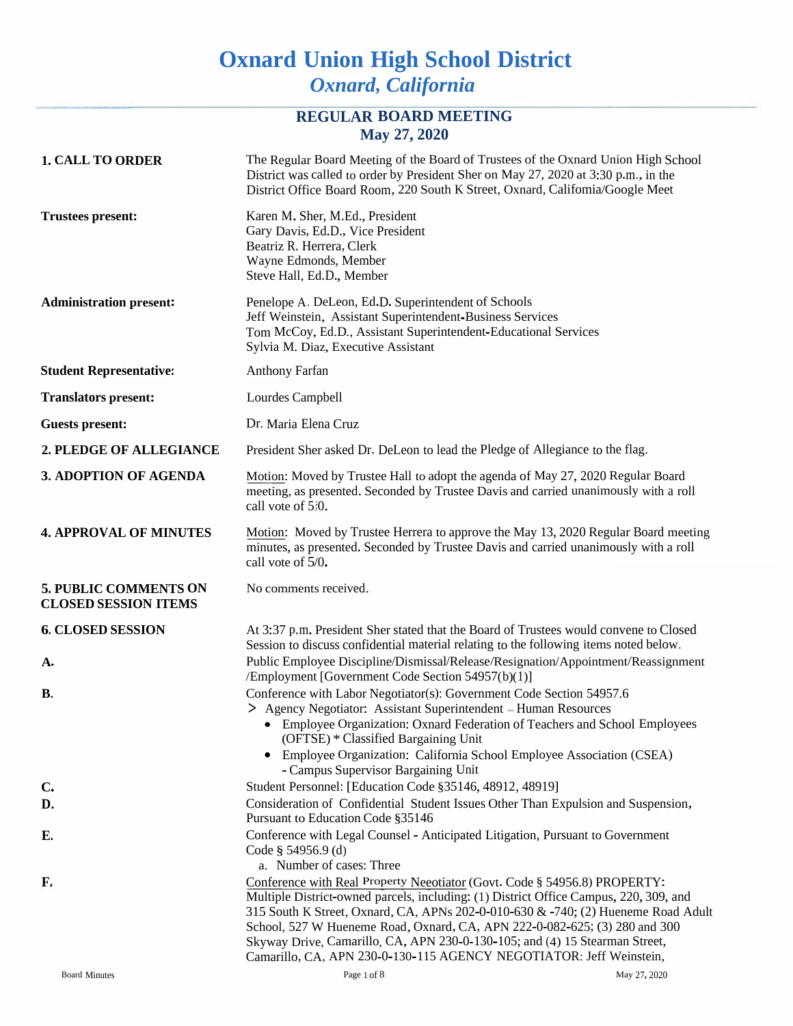# **Oxnard Union High School District** *Oxnard, California*

## **REGULAR BOARD MEETING May 27, 2020**

| <b>1. CALL TO ORDER</b>                                     | The Regular Board Meeting of the Board of Trustees of the Oxnard Union High School<br>District was called to order by President Sher on May 27, 2020 at 3:30 p.m., in the<br>District Office Board Room, 220 South K Street, Oxnard, Califomia/Google Meet                                                                                                                                                                                                                                  |
|-------------------------------------------------------------|---------------------------------------------------------------------------------------------------------------------------------------------------------------------------------------------------------------------------------------------------------------------------------------------------------------------------------------------------------------------------------------------------------------------------------------------------------------------------------------------|
| <b>Trustees present:</b>                                    | Karen M. Sher, M.Ed., President<br>Gary Davis, Ed.D., Vice President<br>Beatriz R. Herrera, Clerk<br>Wayne Edmonds, Member<br>Steve Hall, Ed.D., Member                                                                                                                                                                                                                                                                                                                                     |
| <b>Administration present:</b>                              | Penelope A. DeLeon, Ed.D. Superintendent of Schools<br>Jeff Weinstein, Assistant Superintendent-Business Services<br>Tom McCoy, Ed.D., Assistant Superintendent-Educational Services<br>Sylvia M. Diaz, Executive Assistant                                                                                                                                                                                                                                                                 |
| <b>Student Representative:</b>                              | <b>Anthony Farfan</b>                                                                                                                                                                                                                                                                                                                                                                                                                                                                       |
| <b>Translators present:</b>                                 | Lourdes Campbell                                                                                                                                                                                                                                                                                                                                                                                                                                                                            |
| <b>Guests present:</b>                                      | Dr. Maria Elena Cruz                                                                                                                                                                                                                                                                                                                                                                                                                                                                        |
| 2. PLEDGE OF ALLEGIANCE                                     | President Sher asked Dr. DeLeon to lead the Pledge of Allegiance to the flag.                                                                                                                                                                                                                                                                                                                                                                                                               |
| 3. ADOPTION OF AGENDA                                       | Motion: Moved by Trustee Hall to adopt the agenda of May 27, 2020 Regular Board<br>meeting, as presented. Seconded by Trustee Davis and carried unanimously with a roll<br>call vote of 5/0.                                                                                                                                                                                                                                                                                                |
| <b>4. APPROVAL OF MINUTES</b>                               | Motion: Moved by Trustee Herrera to approve the May 13, 2020 Regular Board meeting<br>minutes, as presented. Seconded by Trustee Davis and carried unanimously with a roll<br>call vote of 5/0.                                                                                                                                                                                                                                                                                             |
| <b>5. PUBLIC COMMENTS ON</b><br><b>CLOSED SESSION ITEMS</b> | No comments received.                                                                                                                                                                                                                                                                                                                                                                                                                                                                       |
| <b>6. CLOSED SESSION</b><br>A.                              | At 3:37 p.m. President Sher stated that the Board of Trustees would convene to Closed<br>Session to discuss confidential material relating to the following items noted below.<br>Public Employee Discipline/Dismissal/Release/Resignation/Appointment/Reassignment<br>/Employment [Government Code Section 54957(b)(1)]                                                                                                                                                                    |
| В.                                                          | Conference with Labor Negotiator(s): Government Code Section 54957.6<br>> Agency Negotiator: Assistant Superintendent - Human Resources<br>• Employee Organization: Oxnard Federation of Teachers and School Employees<br>(OFTSE) * Classified Bargaining Unit<br>• Employee Organization: California School Employee Association (CSEA)<br>- Campus Supervisor Bargaining Unit                                                                                                             |
| $\mathbf{C}$                                                | Student Personnel: [Education Code §35146, 48912, 48919]                                                                                                                                                                                                                                                                                                                                                                                                                                    |
| D.                                                          | Consideration of Confidential Student Issues Other Than Expulsion and Suspension,<br>Pursuant to Education Code §35146                                                                                                                                                                                                                                                                                                                                                                      |
| Е.                                                          | Conference with Legal Counsel - Anticipated Litigation, Pursuant to Government<br>Code § 54956.9 (d)<br>a. Number of cases: Three                                                                                                                                                                                                                                                                                                                                                           |
| F.                                                          | Conference with Real Property Neeotiator (Govt. Code § 54956.8) PROPERTY:<br>Multiple District-owned parcels, including: (1) District Office Campus, 220, 309, and<br>315 South K Street, Oxnard, CA, APNs 202-0-010-630 & -740; (2) Hueneme Road Adult<br>School, 527 W Hueneme Road, Oxnard, CA, APN 222-0-082-625; (3) 280 and 300<br>Skyway Drive, Camarillo, CA, APN 230-0-130-105; and (4) 15 Stearman Street,<br>Camarillo, CA, APN 230-0-130-115 AGENCY NEGOTIATOR: Jeff Weinstein, |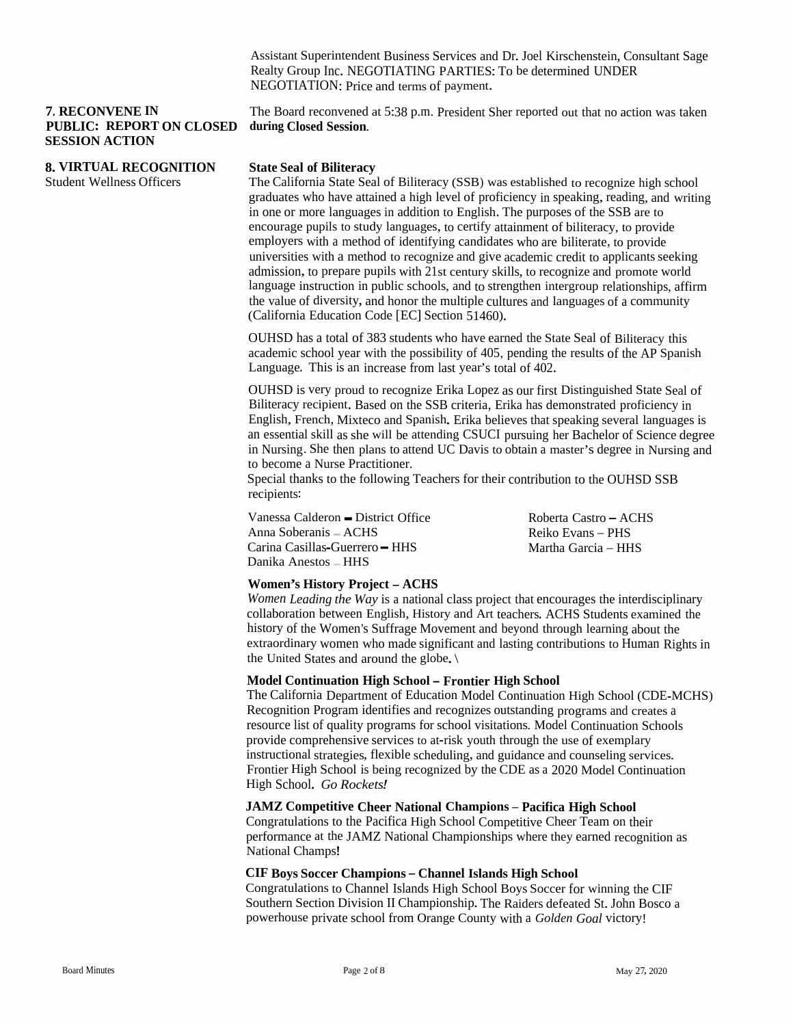Assistant Superintendent Business Services and Dr. Joel Kirschenstein, Consultant Sage Realty Group Inc. NEGOTIATING PARTIES: To be determined UNDER<br>NEGOTIATION: Price and terms of payment NEGOTIATION: Price and terms of payment.

### **7. RECONVENE IN PUBLIC: REPORT ON CLOSED during Closed Session. SESSIONSESSION ACTION**

**8. VIRTUAL RECOGNITION**

Student Wellness Officers

The Board reconvened at 5:38 p.m. President Sher reported out that no action was taken<br>during Classed Session

## **State Seal of Biliteracy**

 The California State Seal of Biliteracy (SSB) was established to recognize high school graduates who have attained a high level of proficiency in speaking, reading, and writing<br>in one or more languages in addition to English. The nurrosse of the SSB are to in one or more languages in addition to English. The purposes of the SSB<br>enecuriers purils to study languages, to earlify striveneut of hilitary and the In one or more languages in addition to English. The purposes of the SSB are to<br>encourage pupils to study languages, to certify attainment of biliteracy, to provide<br>employers with a mathed of identifying and ideas who are employers with a method of identifying candidates who are biliterate, to provide<br>universities with a method to researing and give asedemic exclit to explicant as universities with a method to recognize and give academic credit to applicants seeking<br>admission to grapers quails with 21st contained illust a graperies and admission, to prepare pupils with 21st century skills, to recognize and promote world<br>language instruction in public schools, and to strengthen interpresure relationships of language instruction in public schools, and to strengthen intergroup relationships, affirm<br>the velue of diversity, and honor the multiple sultance and language of a community. the value of diversity, and honor the multiple cultures and languages of a community<br>Colifornia Education Code [EC] Section 51460) (California Education Code [EC] Section 51460).

OUHSD has a total of 383 students who have earned the State Seal of Biliteracy this OUHSD has a total of 383 students who have earned the State Seal of Biliteracy this<br>academic school year with the possibility of 405, pending the results of the AP Spanish<br>I anguage. This is an increase from last year's to Language. This is an increase from

OUHSD is very proud to recognize Erika Lopez as our first Distinguished State Seal of OUHSD is very proud to recognize Erika Lopez as our first Distinguished State Seal of<br>Biliteracy recipient. Based on the SSB criteria, Erika has demonstrated proficiency in<br>English French Mixteco and Spanish Frika believes English, French, Mixteco and Spanish. Erika believes that speaking several languages is an essential skill as she will be attending CSUCI pursuing her Bachelor of Science degree<br>in Nursing, She than plans to etterd UC Davis to aktain a west of a dagree in Nursing and in Nursing. She then plans to attend UC Davis to obtain a master's degree in Nursing and<br>to become a Nurse Practitioner to become a Nurse Practitioner.

to become a Nurse Practitioner.<br>Special thanks to the following Teachers for their contribution to the OUHSD SSB<br>recipients: recipients:

Vanessa Calderon—Vanessa Calderon – District Office<br>Anna Soberanis – ACHS<br>Carina Casillas-Guerrero – HHS<br>Danika Anastas – HHS Anna Soberanis – ACHS Danika Anestos – HHS

Roberta Castro – ACHS<br>Prilis Ferras – PHS Reiko Evans-PHSMartha Garcia – HHS

## **Women's History Project -ACHS**

*Women Leading the Way* is a national class project that encourages the interdisciplinary<br>callaboration hetwoon English History and Art teachers. A CUS Students manujued the collaboration between English, History and Art teachers. ACHS Students examined the<br>history of the Women's Suffrage Movement and boyend through learning shout the history of the Women's Suffrage Movement and beyond through learning about the extraordinary viewers who made significant and leating contributions to Hymne, Div extraordinary women who made significant and lasting contributions to Human Rights in<br>the United States and around the alaba l the United States and around the globe. $\setminus$ 

## **Model Continuation High School- Frontier High School**

The California Department of Education Model Continuation High School (CDE-MCHS) Recognition Program Recognition Program identifies and recognizes outstanding programs and creates a<br>resource list of quality programs for school visitations. Model Continuation Schools<br>provide comprehensive services to at right youth through provide comprehensive services to at-risk youth through the use of exemplary instructional strategies, flexible scheduling, and guidance and counseling ser instructional strategies, flexible scheduling, and guidance and counseling services.<br>Frontier High School is being recognized by the CDE as a 2020 Model Continuation<br>High School Co Bockets! High School. *Go Rockets!*

# **JAMZ Competitive Cheer National Champions-Pacifica High School**

Congratulations to the Pacifica High School Competitive Cheer TeamCongratulations to the Pacifica High School Competitive Cheer Team on their<br>performance at the JAMZ National Championships where they earned recognition as<br>National Champs! National Champs!

# **CIF Boys Soccer Champions-Channel Islands High School**

Congratulations to Channel Islands High School Boys Soccer for winning the CIFSouthern Section Division II Championship. The Raiders defeated St. John Bosco a<br>november as wirete school from Orange County with a Coldar Coal victory. powerhouse private school from Orange County with <sup>a</sup> *Golden Goal* victory!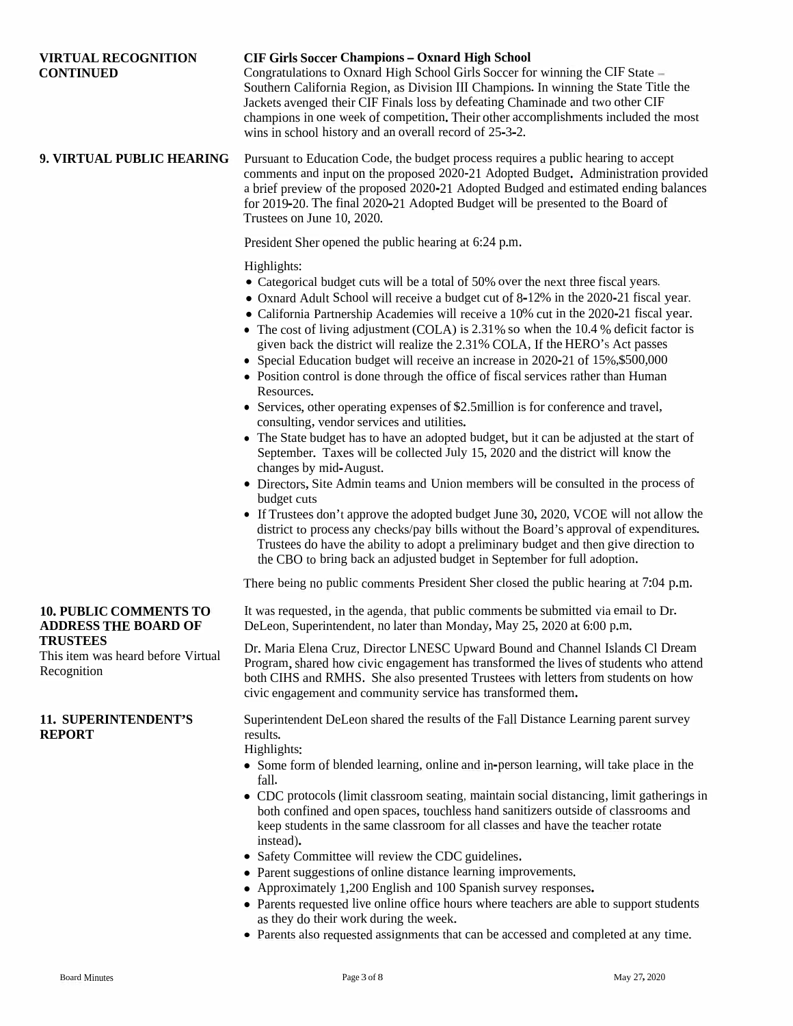| <b>VIRTUAL RECOGNITION</b><br><b>CONTINUED</b>                       | <b>CIF Girls Soccer Champions - Oxnard High School</b><br>Congratulations to Oxnard High School Girls Soccer for winning the CIF State -<br>Southern California Region, as Division III Champions. In winning the State Title the<br>Jackets avenged their CIF Finals loss by defeating Chaminade and two other CIF<br>champions in one week of competition. Their other accomplishments included the most<br>wins in school history and an overall record of 25-3-2.                                                                                                                                                                                                                                                                                                                                                                                                                                                                                                                                                                                                                                                                                                                                                                                                                                                                                                                                                                                                                                                                                  |
|----------------------------------------------------------------------|--------------------------------------------------------------------------------------------------------------------------------------------------------------------------------------------------------------------------------------------------------------------------------------------------------------------------------------------------------------------------------------------------------------------------------------------------------------------------------------------------------------------------------------------------------------------------------------------------------------------------------------------------------------------------------------------------------------------------------------------------------------------------------------------------------------------------------------------------------------------------------------------------------------------------------------------------------------------------------------------------------------------------------------------------------------------------------------------------------------------------------------------------------------------------------------------------------------------------------------------------------------------------------------------------------------------------------------------------------------------------------------------------------------------------------------------------------------------------------------------------------------------------------------------------------|
| 9. VIRTUAL PUBLIC HEARING                                            | Pursuant to Education Code, the budget process requires a public hearing to accept<br>comments and input on the proposed 2020-21 Adopted Budget. Administration provided<br>a brief preview of the proposed 2020-21 Adopted Budged and estimated ending balances<br>for 2019-20. The final 2020-21 Adopted Budget will be presented to the Board of<br>Trustees on June 10, 2020.                                                                                                                                                                                                                                                                                                                                                                                                                                                                                                                                                                                                                                                                                                                                                                                                                                                                                                                                                                                                                                                                                                                                                                      |
|                                                                      | President Sher opened the public hearing at 6:24 p.m.                                                                                                                                                                                                                                                                                                                                                                                                                                                                                                                                                                                                                                                                                                                                                                                                                                                                                                                                                                                                                                                                                                                                                                                                                                                                                                                                                                                                                                                                                                  |
|                                                                      | Highlights:<br>• Categorical budget cuts will be a total of 50% over the next three fiscal years.<br>• Oxnard Adult School will receive a budget cut of 8-12% in the 2020-21 fiscal year.<br>• California Partnership Academies will receive a 10% cut in the 2020-21 fiscal year.<br>• The cost of living adjustment (COLA) is 2.31% so when the 10.4 % deficit factor is<br>given back the district will realize the 2.31% COLA, If the HERO's Act passes<br>• Special Education budget will receive an increase in 2020-21 of 15%, \$500,000<br>• Position control is done through the office of fiscal services rather than Human<br>Resources.<br>• Services, other operating expenses of \$2.5million is for conference and travel,<br>consulting, vendor services and utilities.<br>• The State budget has to have an adopted budget, but it can be adjusted at the start of<br>September. Taxes will be collected July 15, 2020 and the district will know the<br>changes by mid-August.<br>• Directors, Site Admin teams and Union members will be consulted in the process of<br>budget cuts<br>• If Trustees don't approve the adopted budget June 30, 2020, VCOE will not allow the<br>district to process any checks/pay bills without the Board's approval of expenditures.<br>Trustees do have the ability to adopt a preliminary budget and then give direction to<br>the CBO to bring back an adjusted budget in September for full adoption.<br>There being no public comments President Sher closed the public hearing at 7:04 p.m. |
| <b>10. PUBLIC COMMENTS TO</b><br><b>ADDRESS THE BOARD OF</b>         | It was requested, in the agenda, that public comments be submitted via email to Dr.<br>DeLeon, Superintendent, no later than Monday, May 25, 2020 at 6:00 p.m.                                                                                                                                                                                                                                                                                                                                                                                                                                                                                                                                                                                                                                                                                                                                                                                                                                                                                                                                                                                                                                                                                                                                                                                                                                                                                                                                                                                         |
| <b>TRUSTEES</b><br>This item was heard before Virtual<br>Recognition | Dr. Maria Elena Cruz, Director LNESC Upward Bound and Channel Islands Cl Dream<br>Program, shared how civic engagement has transformed the lives of students who attend<br>both CIHS and RMHS. She also presented Trustees with letters from students on how<br>civic engagement and community service has transformed them.                                                                                                                                                                                                                                                                                                                                                                                                                                                                                                                                                                                                                                                                                                                                                                                                                                                                                                                                                                                                                                                                                                                                                                                                                           |
| <b>11. SUPERINTENDENT'S</b><br><b>REPORT</b>                         | Superintendent DeLeon shared the results of the Fall Distance Learning parent survey<br>results.<br>Highlights:<br>• Some form of blended learning, online and in-person learning, will take place in the<br>fall.<br>• CDC protocols (limit classroom seating, maintain social distancing, limit gatherings in<br>both confined and open spaces, touchless hand sanitizers outside of classrooms and<br>keep students in the same classroom for all classes and have the teacher rotate<br>instead).<br>• Safety Committee will review the CDC guidelines.<br>• Parent suggestions of online distance learning improvements.<br>• Approximately 1,200 English and 100 Spanish survey responses.                                                                                                                                                                                                                                                                                                                                                                                                                                                                                                                                                                                                                                                                                                                                                                                                                                                       |

- Parents requested live online office hours where teachers are able to suppor<sup>t</sup> students as they do their work during the week.
- Parents also requested assignments that can be accessed and completed at any time.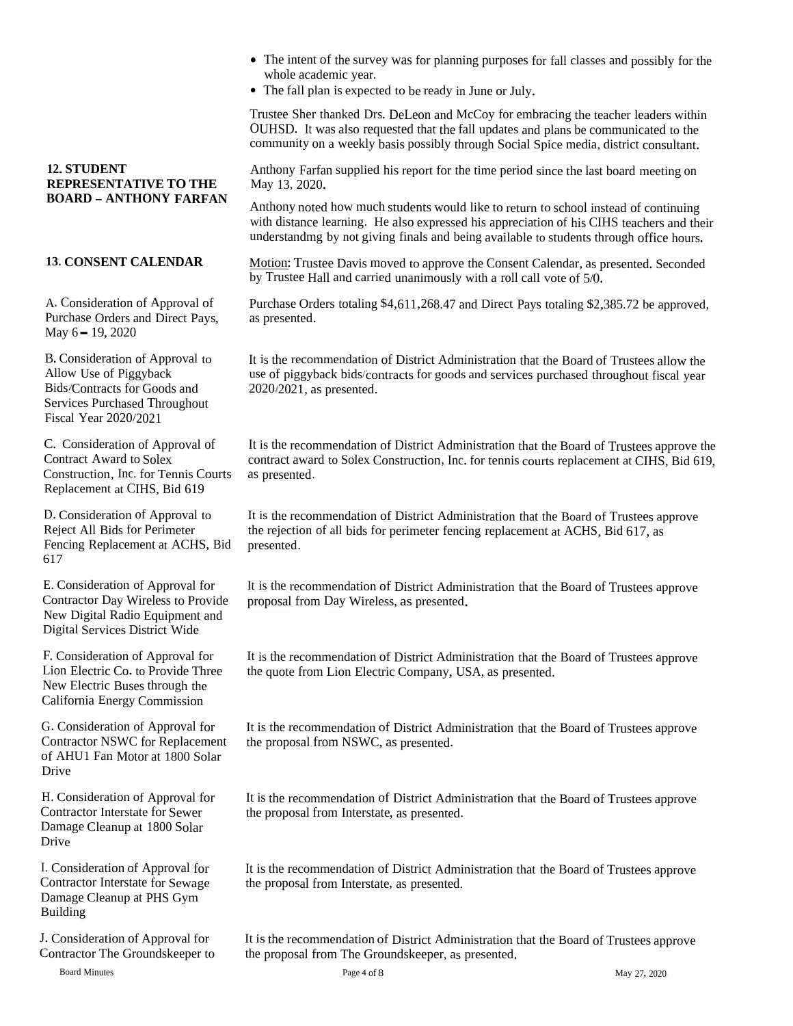- The intent of the survey was for planning purposes for fall classes and possibly for the whole academic year whole academic year.
- The fall <sup>p</sup>lan is expected to be ready in June or July.

Trustee Sher thanked Drs. DeLeon and McCoy for embracing the teacher leaders withinOUHSD. It was also requested that the fall updates and plans be communicated to the community on a weekly begin possibly through Social Spice media district consultant. community on <sup>a</sup> weekly basis possibly through Social Spice media, district consultant.

Anthony Farfan supplied his report for the time period since the last board meeting on<br>May 13, 2020 May <sup>13</sup>, <sup>2020</sup>.

Anthony noted how much students would like to return to school instead of continuing<br>with distance learning. He also expressed his appreciation of his CIHS teachers and th with distance learning. He also expressed his appreciation of his CIHS teachers and their<br>understanding by not giving finals and being available to students through office hours. understandmg by not <sup>g</sup>iving finals and being available to students through office hours.

Motion: Trustee Davis moved to approve the Consent Calendar, as presented. Seconded<br>by Trustee Hell and espring unonimously with a sell all the of 5.0 by Trustee Hall and carried unanimously with <sup>a</sup> roll call vote of <sup>5</sup>/0.

Purchase Orders totaling \$4,611,268.47 and Direct Pays totaling \$2,385.72 be approved, as presented.

It is the recommendation of District Administration that the Board of Trustees allow<br>use of rigoriheal: hidelecatinets for each and services numbered throughout fixed. It is the recommendation of District Administration that the Board of Trustees allow the<br>use of piggyback bids/contracts for goods and services purchased throughout fiscal year<br>2020/2021, as aresented 2020, 2021, as presented.

It is the recommendation of District Administration that the Board of Trustees approve the<br>contrast superfect Solar Construction. In for tensies the probability of CIUS, Did 610. contract award to Solex Construction, Inc. for tennis courts replacement at CIHS, Bid <sup>619</sup>, as presented.

It is the recommendation of District Administration that the Board of Trustees approve<br>the rejection of all hide for perimeter for sing and accuract of ACUS, Bid 617. the rejection of all bids for perimeter fencing replacement at ACHS, Bid 617, as presented.

It is the recommendation of District Administration that the Board of Trustees approve<br>proposel from Day Wireless, as greented proposal from Day Wireless, as presented.

It is the recommendation of District Administration that the Board of Trustees approve<br>the quote from Lion Electric Company, USA, as aresetted the quote from Lion Electric Company, USA, as presented.

It is the recommendation of District Administration that the Board of Trustees approve<br>the proposel from NSWC as ameanted the proposa<sup>l</sup> from NSWC, as presented.

It is the recommendation of District Administration that the Board of Trustees approve<br>the proposel from Interstate, as presented the proposa<sup>l</sup> from Interstate, as presented.

It is the recommendation of District Administration that the Board of Trustees approve<br>the proposed from Interstate as greented the proposa<sup>l</sup> from Interstate, as presented.

It is the recommendation of District Administration that the Board of Trustees approve<br>the proposed from The Groundskeeper, as approached the proposal from The Groundskeeper, as presented.

**12. STUDENT**<br> **Anthony Farm Anthony Farm REPRESENTATIVE TO THE**<br> **BOARD – ANTHONY FARFAN**<br>
Anthony not<br>
with distance<br>
understandm<br> **13. CONSENT CALENDAR**<br> **13. CONSENT CALENDAR**<br> **13. CONSENT CALENDAR**<br> **14. Consideratio** 

e Orders and Direct Pays, May 6 – 19, 2020

B. Consideration of Approval to **Allow Use of Piggyback** Allow Use of Piggyback<br>Bids/Contracts for Goods and<br>Samican Durchard Thermals Services Purchased Throughout<br>Eiseel Neer 2020/2021 Fiscal Year <sup>2020</sup>/<sup>2021</sup>

C. Consideration of Approval of Contract Award to Solex Construction, Inc. for Tennis Courts Replacement at CIHS, Bid <sup>619</sup>

D. Consideration of Approval to<br>Reject All Dids for Darinster Reject All Bids for Perimeter Fencing Replacement at ACHS, Bid 617

E. Consideration of Approval for Contractor Day Wireless to Provide New Digital Radio Equipment and<br>Digital Services District Wide Digital Services District Wide

F. Consideration of Approval for Lion Electric Co. to Provide Three New Electric Buses through the New Electric Buses through the<br>California Energy Commission

G. Consideration of Approval for Contractor NSWC for Replacement<br>of AHH LEan Motor at 1800 Solar of AHU<sup>1</sup> Fan Motor at <sup>1800</sup> Solar Drive

H. Consideration of Approval for Contractor Interstate for Sewer Damage Cleanup at <sup>1800</sup> Solar Drive

I. Consideration of Approval for<br>Contractor Interates for Services Contractor Interstate for SewageDamage Cleanup at PHS GymBuilding

J. Consideration of Approval for Contractor The Groundskeeper to

Board Minutes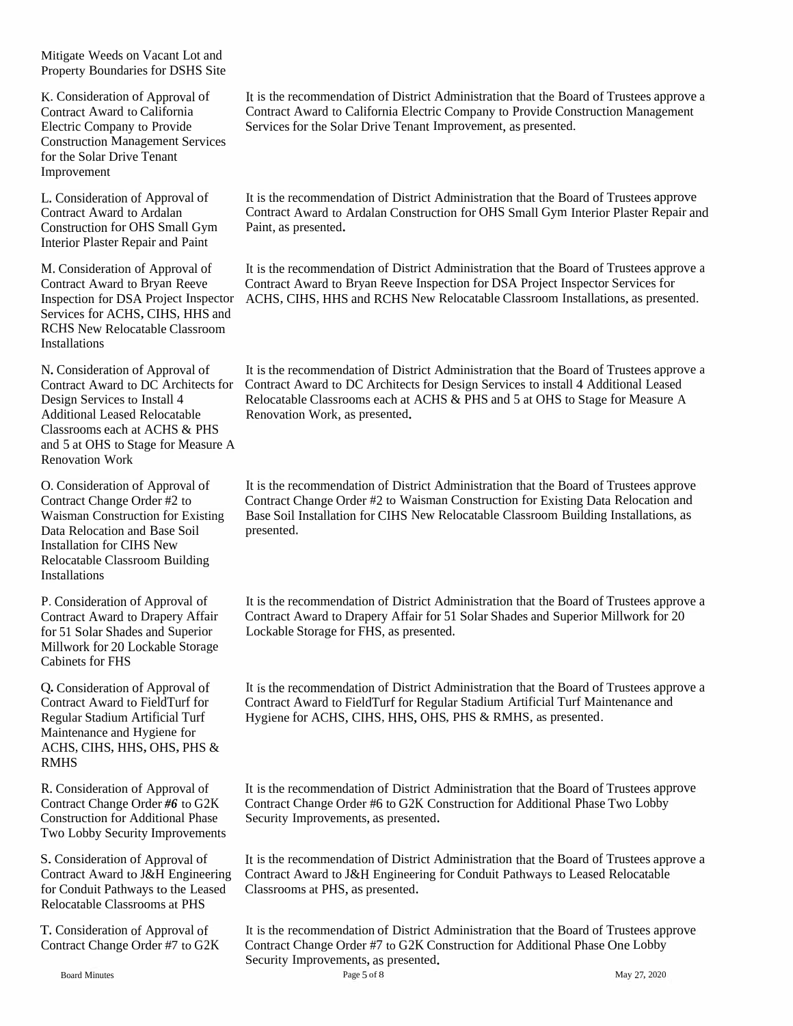Mitigate Weeds on Vacant Lot and Property Boundaries for DSHS Site

K. Consideration of Approval of Contract Award to California Electric Company to Provide Construction Management Services for the Solar Drive Tenant Improvement

L. Consideration of Approval of Contract Award to Ardalan Construction for OHS Small Gym Interior Plaster Repair and Paint

M. Consideration of Approval of Contract Award to Bryan Reeve<br>Inspection for DSA Project Inspector Services for ACHS, CIHS, HHS and RCHS New Relocatable Classroom Installations

Relocatable Classrooms each at Additional Leased Relocatable<br>
Renovation Work, as presented. Classrooms each at ACHS & PHS and <sup>5</sup> at OHS to Stage for Measure <sup>A</sup> Renovation Work

O. Consideration of Approval of It is the rec<br>
Contract Change Order #2 to Contract C<br>
Waisman Construction for Existing Base Soil<br>
Data Relocation and Base Soil presented. Installation for CIHS New Relocatable Classroom Building Installations

Millwork for 20 Lockable Storage Cabinets for FHS

Q.Consideration of Approval of Contract Award to FieldTurf for Regular Stadium Artificial Turf Maintenance and Hygiene for ACHS, CIHS, HHS, OHS, PHS & RMHS

Two Lobby Security Improvements

for Conduit Pathways to the Leased Classrooms at PHS, as presented. Relocatable Classrooms at PHS

T. Consideration of Approval of Contract Change Order #7 to G2K It is the recommendation of District Administration that the Board of Trustees approve <sup>a</sup> Contract Award to California Electric Company to Provide Construction Management Services for the Solar Drive Tenant Improvement, as presented.

It is the recommendation of District Administration that the Board of Trustees approve Contract Award to Ardalan Construction for OHS Small Gym Interior Plaster Repair and Paint, as presented.

ACHS, CIHS, HHS and RCHS New Relocatable Classroom Installations, as presented. It is the recommendation of District Administration that the Board of Trustees approve <sup>a</sup> Contract Award to Bryan Reeve Inspection for DSA Project Inspector Services for

N. Consideration of Approval of It is the recommendation of District Administration that the Board of Trustees approve a Contract Award to DC Architects for Contract Award to DC Architects for Design Services to install 4 Contract Award to DC Architects for Design Services to install 4 Additional Leased Relocatable Classrooms each at ACHS & PHS and <sup>5</sup> at OHS to Stage for Measure <sup>A</sup>

> It is the recommendation of District Administration that the Board of Trustees approve Contract Change Order #2 to Waisman Construction for Existing Data Relocation and Base Soil Installation for CIHS New Relocatable Classroom Building Installations, as

It is the recommendation of District Administration that the Board of Trustees approve <sup>a</sup> Contract Award to Drapery Affair for 51 Solar Shades and Superior Millwork for 20 P. Consideration of Approval of Film is the recommendation of District Adr<br>Contract Award to Drapery Affair For Solar Shades and Superior For Solar Shades and Superior For Superior Cockable Storage for FHS, as presented.

> It is the recommendation of District Administration that the Board of Trustees approve <sup>a</sup> Contract Award to FieldTurf for Regular Stadium Artificial Turf Maintenance and Hygiene for ACHS, CIHS, HHS, OHS, PHS & RMHS, as presented.

R. Consideration of Approval of It is the recommendation of District Administration that the Board of Trustees approve Contract Change Order *#6* to G2K Contract Change Order #6 to G2K Construction for Additional Phase Two Lobby Construction for Additional Phase Security Improvements, as presented.

S. Consideration of Approval of It is the recommendation of District Administration that the Board of Trustees approve a Contract Award to J&H Engineering Contract Award to J&H Engineering for Conduit Pathways to Leased Relocatable

> It is the recommendation of District Administration that the Board of Trustees approve Contract Change Order #7 to G2K Construction for Additional Phase One Lobby Security Improvements, as presented.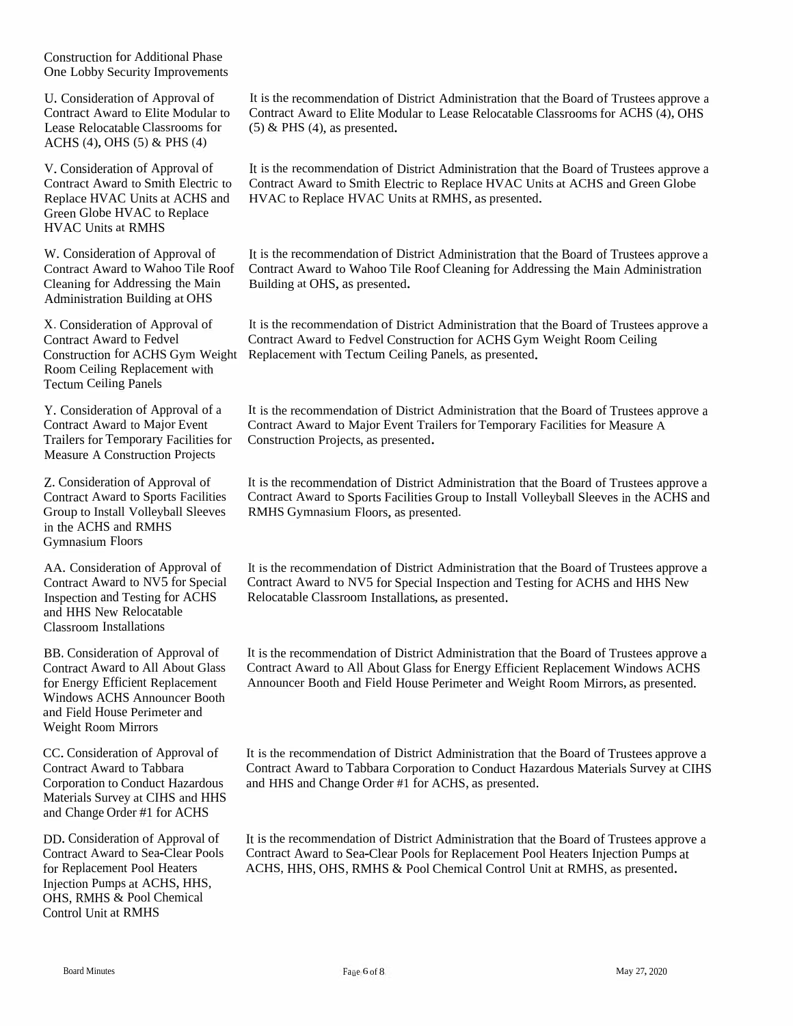Construction for Additional Phase One Lobby Security Improvements

U. Consideration of Approval of Contract Award to Elite Modular toLease Relocatable Classrooms for<br>A CUS (4) OUS (5) & DUS (4) ACHS (4), OHS (5) & PHS (4)

V. ConsiderationContract Award to Smith Electric to Contract Award<br>Replace UVAC Units at ACUS and UVAC to Bank Replace HVAC Units at ACHS and HVAC<br>Green Globe HVAC to Replace to Replace HVAC Units at RMHS, as presented. Greenn Globe HVAC to Replace<br>C Units at RMHS HVAC Units at RMHS

W. ConsiderationContract Award to Wahoo Tile Roof Contract AwardCleaning for Addressing the Main Cleaning for Addressing the Main Building at OHS, as presented.<br>Administration Building at OHS

X. Consideration of Approval of Contract Award to Fedvel Construction for ACHS Gym Construction for ACHS Gym Weight Replacement with Tectum Ceiling Panels, as presented.<br>Room Ceiling Replacement with Room Ceiling Replacement with Tectum Ceiling Panels

Y. Consideration of Approval of a<br>Contract Award to Major Fuant Contract Award to Major Event<br>Turilans for Tampanoru Facilitie Trailers for Temporary Facilities for Measure <sup>A</sup> Construction Projects

Z. Consideration of Approval of Contract Award to Sports Facilities Group to Install Volleyball Sleeves in the ACHS and RMHS<br>Gymnasium Floors Gymnasium Floors

AA. Consideration of Approval of Contract Award to NV5 for Special Inspection and Testing for ACHSand HHS New Relocatable<br>Classroom Installations Classroom Installations

BB. Consideration of Approval of Contract Award to All About Glass for Energy Efficient Replacement Windows ACHS Announcer Booth<br>and Field House Perimeter and and Field House Perimeter and<br>Weight Boom Minners Weight Room Mirrors

CC. Consideration of Approval of Contract Award to Tabbara Corporation to Conduct Hazardous Materials Survey at CIHS and HHSand Change Order #1 for ACHS

DD. Consideration of Approval of Contract Award to Sea-Clear Pools for Replacement Pool Heaters Injection Pumps at ACHS, HHS, OHS, RMHS & Pool Chemical<br>Control Unit at RMHS Control Unit at RMHS

It is the recommendation of District Administration that the Board of Trustees approve a<br>Contract Arrest to Flite Madular to Lasse Balasatekle Classes and for ACUS (4), OUS Contract Award to Elite Modular to Lease Relocatable Classrooms for ACHS (4), OHS<br>(5) & PHS (4), as presented  $(5)$  & PHS  $(4)$ , as presented.

n of Approval of It is the recommendation of District Administration that the Board of Trustees approve a<br>Lee Smith Flectric to Contract Award to Smith Flectric to Bankas UVAC Units at ACUS and Crean Clabs d to Smith Electric to Replace HVAC Units at ACHS and Green Globe<br>ace HVAC Units at RMHS, as presented

n of Approval of It is the recommendation of District Administration that the Board of Trustees approve a<br>to Wahaa Tila Boaf Contract Award to Wahaa Tila Boaf Classing for Addressing the M. in Administration d to Wahoo Tile Roof Cleaning for Addressing the Main Administration<br><sup>IS</sup> as aresented

> It is the recommendation of District Administration that the Board of Trustees approve a<br>Contract Award to Fedval Construction for ACUS Cum Weight Boarn Ceiling Contract Award to Fedvel Construction for ACHS Gym Weight Room Ceiling

> It is the recommendation of District Administration that the Board of Trustees approve a<br>Contract Arrest to Maior Freet Trailer for Trustees Bailities for Massey A Contract Award to Major Event Trailers for Temporary Facilities for Measure <sup>A</sup>Construction Projects, as presented.

> It is the recommendation of District Administration that the Board of Trustees approve a<br>Contract Arrest to Sports Facilities Crown to Install Vallerhall Slagges in the ACUS are Contract Award to Sports Facilities Group to Install Volleyball Sleeves in the ACHS and RMHS Gymnasium Floors, as presented.

> It is the recommendation of District Administration that the Board of Trustees approve a<br>Contract Arrest is NU5 for Special Lease in the Linear for AGUS at HUS News Contract Award to NV5 for Special Inspection and Testing for ACHS and HHS NewRelocatable Classroom Installations, as presented.

> It is the recommendation of District Administration that the Board of Trustees approve a<br>Contract Arrest (e.g. 1) About Class for Fragges Efficient Barliacenset Windows ACUS Contract Award to All About Glass for Energy Efficient Replacement Windows ACHSAnnouncer Booth and Field House Perimeter and Weight Room Mirrors, as presented.

> It is the recommendation of District Administration that the Board of Trustees approve a<br>Contract Award to Takhara Gausentine to Gaudret Happelaus Materials Survey of CIU Contract Award to Tabbara Corporation to Conduct Hazardous Materials Survey at CIHSand HHS and Change Order #1 for ACHS, as presented.

> It is the recommendation of District Administration that the Board of Trustees approve a<br>Contract Arrest to See Class Boale for Bankagement Boal Hasters Injection Dunna et Contract Award to Sea-Clear Pools for Replacement Pool Heaters Injection Pumps at ACHS, HHS, OHS, RMHS & Pool Chemical Control Unit at RMHS, as presented.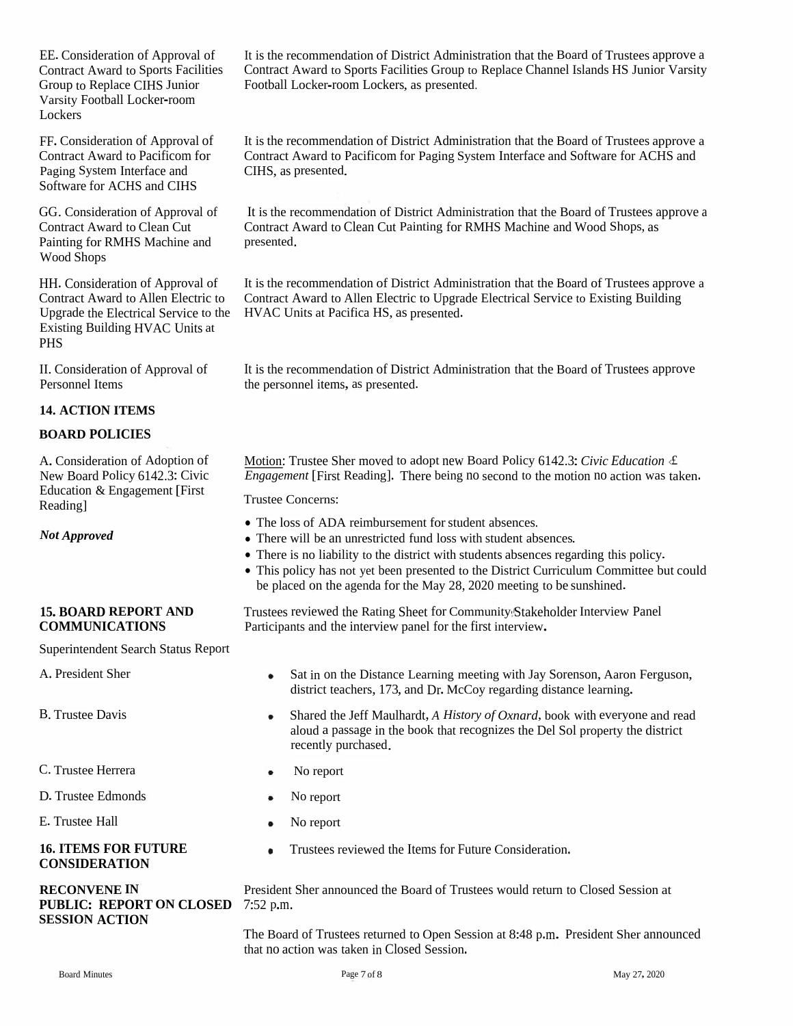EE.Consideration of Approval of Contract Award to Sports Facilities Group to Replace CIHS Junior Varsity Football Locker-room **Lockers** 

FF. Consideration of Approval of Contract Award to Pacificom for Paging System Interface and Software for ACHS and CIHS

GG. Consideration of Approval of It is the re<br>
Contract Award to Clean Cut Contract A<br>
Painting for RMHS Machine and presented. Wood Shops

HH. Consideration of Approval of Contract Award to Allen Electric to Existing Building HVAC Units at PHS

II. Consideration of Approval of It is the recommendation of Districters personnel Items, as presented.

### **14. ACTION ITEMS**

### **BOARD POLICIES**

A. Consideration of Adoption of New Board Policy 6142.3: Civic Education & Engagement [First Reading]

*Not Approved*

### **15. BOARD REPORT AND COMMUNICATIONS**

Superintendent Search Status Report

B. Trustee Davis

C. Trustee Herrera

D. Trustee Edmonds

E. Trustee Hall

### **16. ITEMS FOR FUTURE CONSIDERATION**

# **PUBLIC: REPORT ON CLOSED** 7:52 p.m. **SESSION ACTION**

It is the recommendation of District Administration that the Board of Trustees approve <sup>a</sup> Contract Award to Sports Facilities Group to Replace Channel Islands HS Junior Varsity Football Locker-room Lockers, as presented.

It is the recommendation of District Administration that the Board of Trustees approve <sup>a</sup> Contract Award to Pacificom for Paging System Interface and Software for ACHS and CIHS, as presented.

It is the recommendation of District Administration that the Board of Trustees approve <sup>a</sup> Contract Award to Clean Cut Painting for RMHS Machine and Wood Shops, as

Upgrade the Electrical Service to the HVAC Units at Pacifica HS, as presented. It is the recommendation of District Administration that the Board of Trustees approve <sup>a</sup> Contract Award to Allen Electric to Upgrade Electrical Service to Existing Building

It is the recommendation of District Administration that the Board of Trustees approve

Motion: Trustee Sher moved to adopt new Board Policy 6142.3:*Civic Education* <£ *Engagement* [First Reading]. There being no second to the motion no action was taken.

Trustee Concerns:

- The loss of ADA reimbursement for student absences.
- There will be an unrestricted fund loss with student absences.
- There is no liability to the district with students absences regarding this policy.
- This policy has not ye<sup>t</sup> been presented to the District Curriculum Committee but could be placed on the agenda for the May 28, 2020 meeting to be sunshined.

Trustees reviewed the Rating Sheet for Community/Stakeholder Interview Panel Participants and the interview pane<sup>l</sup> for the first interview.

- A. President Sher Sat in on the Distance Learning meeting with Jay Sorenson, Aaron Ferguson, district teachers, 173, and Dr. McCoy regarding distance learning.
	- Shared the Jeff Maulhardt, *<sup>A</sup> History of Oxnard*, book with everyone and read  $\bullet$ aloud <sup>a</sup> passage in the book that recognizes the Del Sol property the district recently purchased.
	- No repor<sup>t</sup>  $\bullet$
	- $\bullet$ No repor<sup>t</sup>
	- No repor<sup>t</sup>  $\bullet$
	- Trustees reviewed the Items for Future Consideration.  $\bullet$

**RECONVENE IN** President Sher announced the Board of Trustees would return to Closed Session at

The Board of Trustees returned to Open Session at 8:48 p.m. President Sher announced that no action was taken in Closed Session.